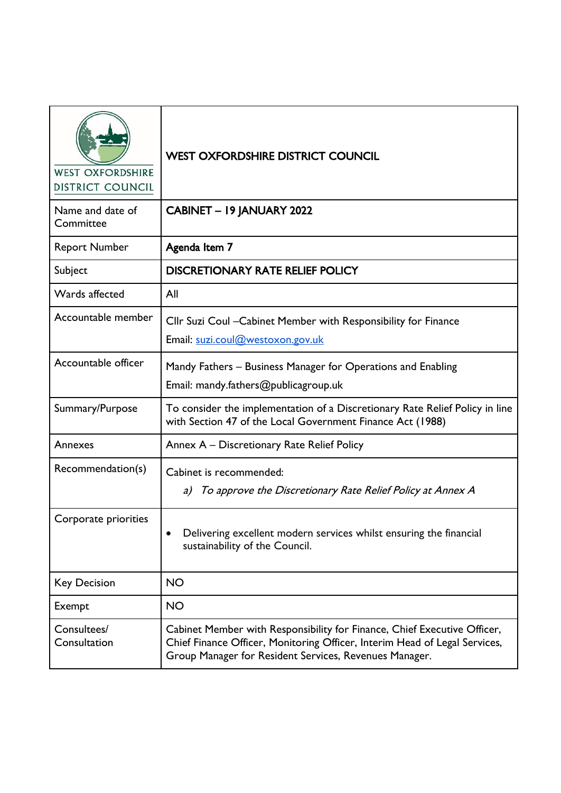| <b>WEST OXFORDSHIRE</b><br><b>DISTRICT COUNCIL</b> | <b>WEST OXFORDSHIRE DISTRICT COUNCIL</b>                                                                                                                                                                         |
|----------------------------------------------------|------------------------------------------------------------------------------------------------------------------------------------------------------------------------------------------------------------------|
| Name and date of<br>Committee                      | CABINET - 19 JANUARY 2022                                                                                                                                                                                        |
| <b>Report Number</b>                               | Agenda Item 7                                                                                                                                                                                                    |
| Subject                                            | <b>DISCRETIONARY RATE RELIEF POLICY</b>                                                                                                                                                                          |
| Wards affected                                     | All                                                                                                                                                                                                              |
| Accountable member                                 | Cllr Suzi Coul - Cabinet Member with Responsibility for Finance<br>Email: suzi.coul@westoxon.gov.uk                                                                                                              |
| Accountable officer                                | Mandy Fathers – Business Manager for Operations and Enabling<br>Email: mandy.fathers@publicagroup.uk                                                                                                             |
| Summary/Purpose                                    | To consider the implementation of a Discretionary Rate Relief Policy in line<br>with Section 47 of the Local Government Finance Act (1988)                                                                       |
| Annexes                                            | Annex A - Discretionary Rate Relief Policy                                                                                                                                                                       |
| Recommendation(s)                                  | Cabinet is recommended:<br>To approve the Discretionary Rate Relief Policy at Annex A<br>a)                                                                                                                      |
| Corporate priorities                               | Delivering excellent modern services whilst ensuring the financial<br>sustainability of the Council.                                                                                                             |
| <b>Key Decision</b>                                | <b>NO</b>                                                                                                                                                                                                        |
| Exempt                                             | <b>NO</b>                                                                                                                                                                                                        |
| Consultees/<br>Consultation                        | Cabinet Member with Responsibility for Finance, Chief Executive Officer,<br>Chief Finance Officer, Monitoring Officer, Interim Head of Legal Services,<br>Group Manager for Resident Services, Revenues Manager. |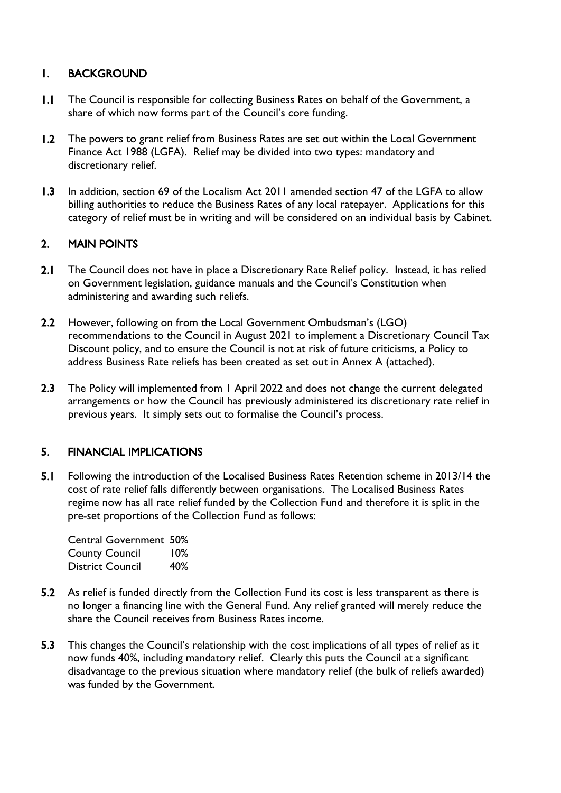### 1. BACKGROUND

- 1.1 The Council is responsible for collecting Business Rates on behalf of the Government, a share of which now forms part of the Council's core funding.
- 1.2 The powers to grant relief from Business Rates are set out within the Local Government Finance Act 1988 (LGFA). Relief may be divided into two types: mandatory and discretionary relief.
- 1.3 In addition, section 69 of the Localism Act 2011 amended section 47 of the LGFA to allow billing authorities to reduce the Business Rates of any local ratepayer. Applications for this category of relief must be in writing and will be considered on an individual basis by Cabinet.

# 2. MAIN POINTS

- 2.1 The Council does not have in place a Discretionary Rate Relief policy. Instead, it has relied on Government legislation, guidance manuals and the Council's Constitution when administering and awarding such reliefs.
- 2.2 However, following on from the Local Government Ombudsman's (LGO) recommendations to the Council in August 2021 to implement a Discretionary Council Tax Discount policy, and to ensure the Council is not at risk of future criticisms, a Policy to address Business Rate reliefs has been created as set out in Annex A (attached).
- 2.3 The Policy will implemented from 1 April 2022 and does not change the current delegated arrangements or how the Council has previously administered its discretionary rate relief in previous years. It simply sets out to formalise the Council's process.

## 5. FINANCIAL IMPLICATIONS

5.1 Following the introduction of the Localised Business Rates Retention scheme in 2013/14 the cost of rate relief falls differently between organisations. The Localised Business Rates regime now has all rate relief funded by the Collection Fund and therefore it is split in the pre-set proportions of the Collection Fund as follows:

Central Government 50% County Council 10% District Council 40%

- 5.2 As relief is funded directly from the Collection Fund its cost is less transparent as there is no longer a financing line with the General Fund. Any relief granted will merely reduce the share the Council receives from Business Rates income.
- 5.3 This changes the Council's relationship with the cost implications of all types of relief as it now funds 40%, including mandatory relief. Clearly this puts the Council at a significant disadvantage to the previous situation where mandatory relief (the bulk of reliefs awarded) was funded by the Government.